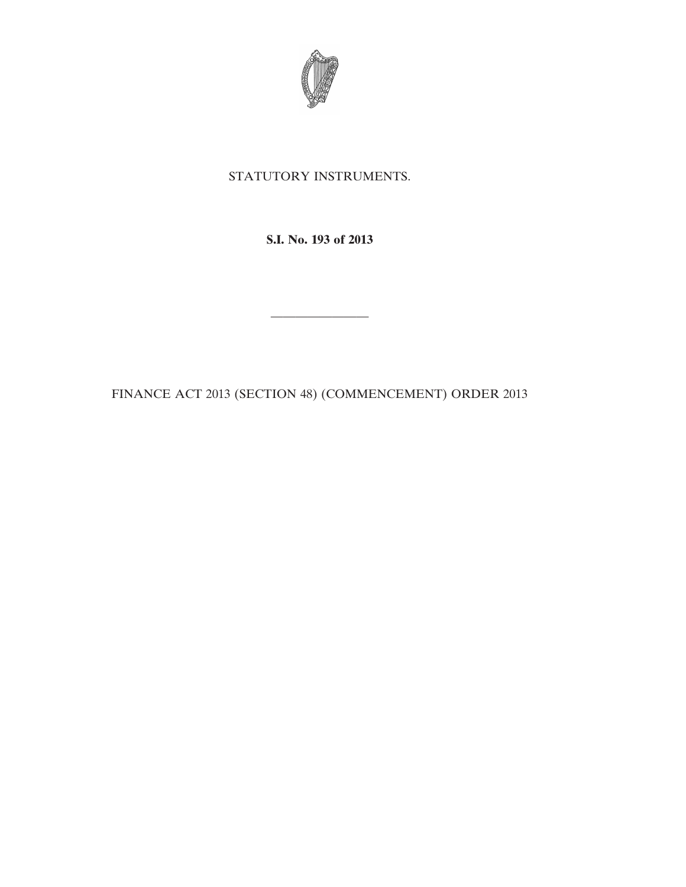

## STATUTORY INSTRUMENTS.

**S.I. No. 193 of 2013**

————————

FINANCE ACT 2013 (SECTION 48) (COMMENCEMENT) ORDER 2013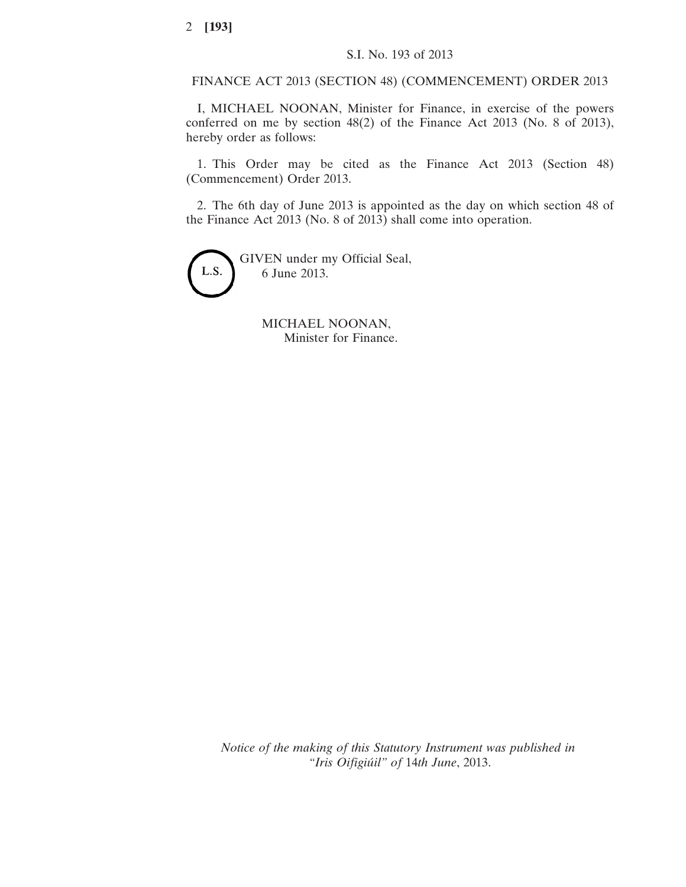FINANCE ACT 2013 (SECTION 48) (COMMENCEMENT) ORDER 2013

I, MICHAEL NOONAN, Minister for Finance, in exercise of the powers conferred on me by section 48(2) of the Finance Act 2013 (No. 8 of 2013), hereby order as follows:

1. This Order may be cited as the Finance Act 2013 (Section 48) (Commencement) Order 2013.

2. The 6th day of June 2013 is appointed as the day on which section 48 of the Finance Act 2013 (No. 8 of 2013) shall come into operation.

GIVEN under my Official Seal, L.S. 6 June 2013.

> MICHAEL NOONAN, Minister for Finance.

*Notice of the making of this Statutory Instrument was published in "Iris Oifigiúil" of* 14*th June*, 2013.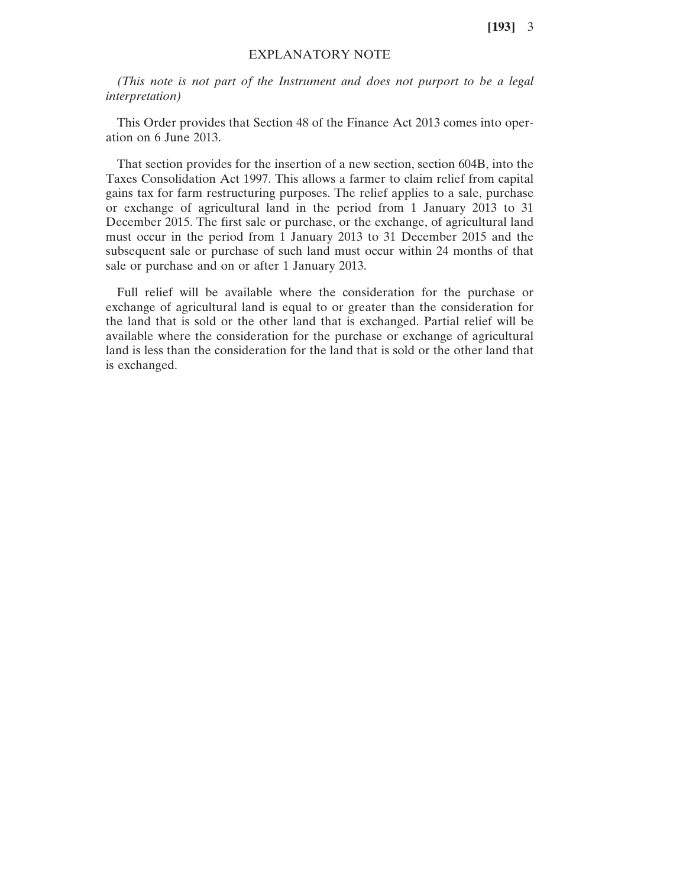**[193]** 3

## EXPLANATORY NOTE

*(This note is not part of the Instrument and does not purport to be a legal interpretation)*

This Order provides that Section 48 of the Finance Act 2013 comes into operation on 6 June 2013.

That section provides for the insertion of a new section, section 604B, into the Taxes Consolidation Act 1997. This allows a farmer to claim relief from capital gains tax for farm restructuring purposes. The relief applies to a sale, purchase or exchange of agricultural land in the period from 1 January 2013 to 31 December 2015. The first sale or purchase, or the exchange, of agricultural land must occur in the period from 1 January 2013 to 31 December 2015 and the subsequent sale or purchase of such land must occur within 24 months of that sale or purchase and on or after 1 January 2013.

Full relief will be available where the consideration for the purchase or exchange of agricultural land is equal to or greater than the consideration for the land that is sold or the other land that is exchanged. Partial relief will be available where the consideration for the purchase or exchange of agricultural land is less than the consideration for the land that is sold or the other land that is exchanged.